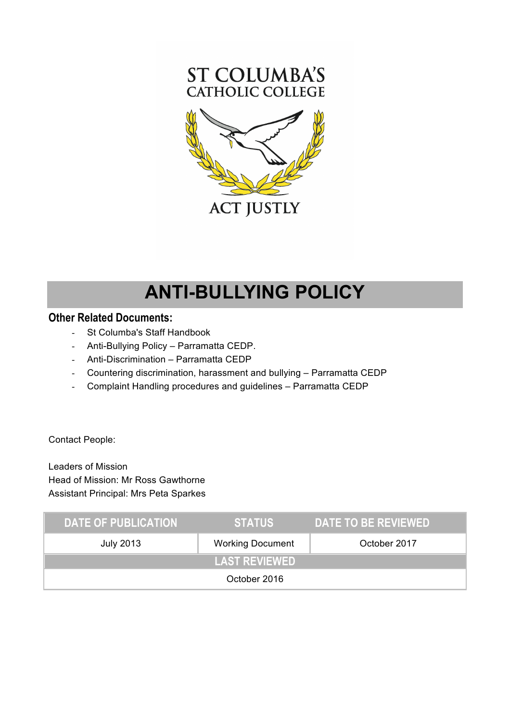

# **ANTI-BULLYING POLICY**

### **Other Related Documents:**

- St Columba's Staff Handbook
- Anti-Bullying Policy Parramatta CEDP.
- Anti-Discrimination Parramatta CEDP
- Countering discrimination, harassment and bullying Parramatta CEDP
- Complaint Handling procedures and guidelines Parramatta CEDP

Contact People:

Leaders of Mission Head of Mission: Mr Ross Gawthorne Assistant Principal: Mrs Peta Sparkes

| <b>DATE OF PUBLICATION</b> | <b>STATUS</b>           | DATE TO BE REVIEWED |
|----------------------------|-------------------------|---------------------|
| <b>July 2013</b>           | <b>Working Document</b> | October 2017        |
|                            | <b>LAST REVIEWED</b>    |                     |
|                            | October 2016            |                     |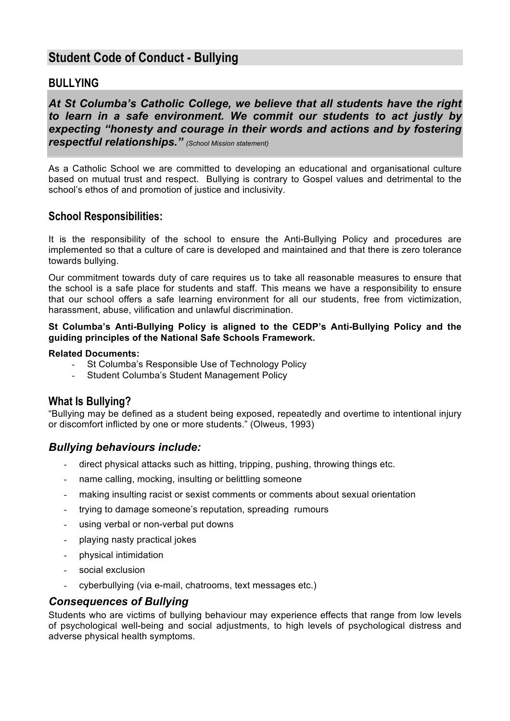# **Student Code of Conduct - Bullying**

## **BULLYING**

*At St Columba's Catholic College, we believe that all students have the right to learn in a safe environment. We commit our students to act justly by expecting "honesty and courage in their words and actions and by fostering respectful relationships." (School Mission statement)*

As a Catholic School we are committed to developing an educational and organisational culture based on mutual trust and respect. Bullying is contrary to Gospel values and detrimental to the school's ethos of and promotion of justice and inclusivity.

#### **School Responsibilities:**

It is the responsibility of the school to ensure the Anti-Bullying Policy and procedures are implemented so that a culture of care is developed and maintained and that there is zero tolerance towards bullying.

Our commitment towards duty of care requires us to take all reasonable measures to ensure that the school is a safe place for students and staff. This means we have a responsibility to ensure that our school offers a safe learning environment for all our students, free from victimization, harassment, abuse, vilification and unlawful discrimination.

#### **St Columba's Anti-Bullying Policy is aligned to the CEDP's Anti-Bullying Policy and the guiding principles of the National Safe Schools Framework.**

#### **Related Documents:**

- St Columba's Responsible Use of Technology Policy
- Student Columba's Student Management Policy

#### **What Is Bullying?**

"Bullying may be defined as a student being exposed, repeatedly and overtime to intentional injury or discomfort inflicted by one or more students." (Olweus, 1993)

#### *Bullying behaviours include:*

- direct physical attacks such as hitting, tripping, pushing, throwing things etc.
- name calling, mocking, insulting or belittling someone
- making insulting racist or sexist comments or comments about sexual orientation
- trying to damage someone's reputation, spreading rumours
- using verbal or non-verbal put downs
- playing nasty practical jokes
- physical intimidation
- social exclusion
- cyberbullying (via e-mail, chatrooms, text messages etc.)

#### *Consequences of Bullying*

Students who are victims of bullying behaviour may experience effects that range from low levels of psychological well-being and social adjustments, to high levels of psychological distress and adverse physical health symptoms.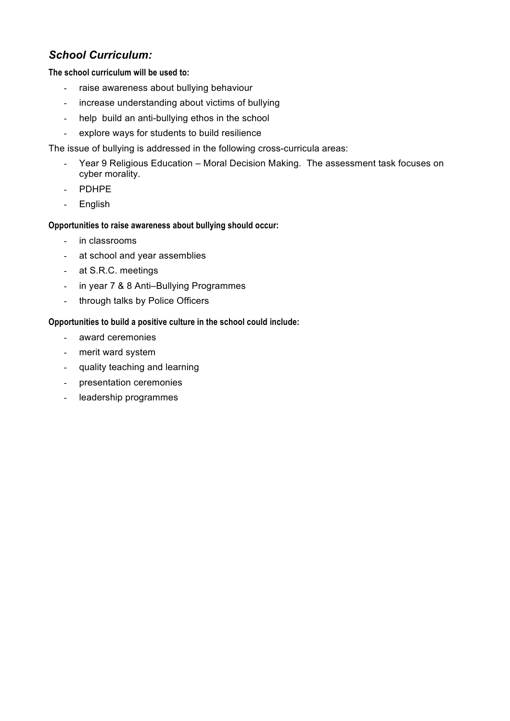# *School Curriculum:*

#### **The school curriculum will be used to:**

- raise awareness about bullying behaviour
- increase understanding about victims of bullying
- help build an anti-bullying ethos in the school
- explore ways for students to build resilience

The issue of bullying is addressed in the following cross-curricula areas:

- Year 9 Religious Education Moral Decision Making. The assessment task focuses on cyber morality.
- PDHPE
- English

#### **Opportunities to raise awareness about bullying should occur:**

- in classrooms
- at school and year assemblies
- at S.R.C. meetings
- in year 7 & 8 Anti–Bullying Programmes
- through talks by Police Officers

#### **Opportunities to build a positive culture in the school could include:**

- award ceremonies
- merit ward system
- quality teaching and learning
- presentation ceremonies
- leadership programmes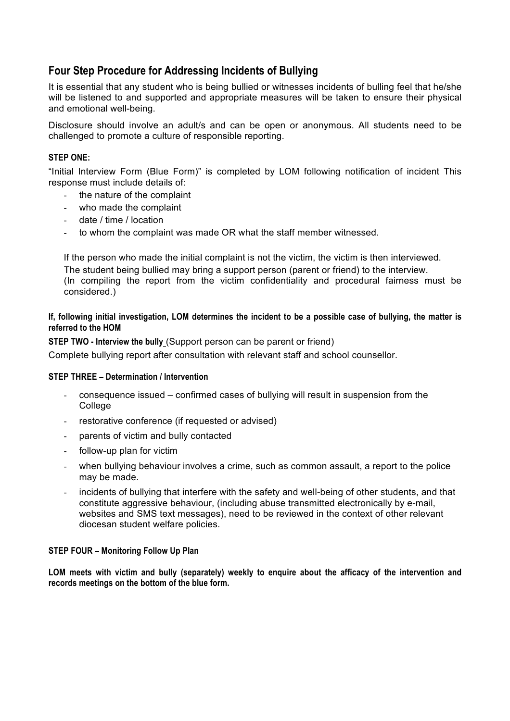# **Four Step Procedure for Addressing Incidents of Bullying**

It is essential that any student who is being bullied or witnesses incidents of bulling feel that he/she will be listened to and supported and appropriate measures will be taken to ensure their physical and emotional well-being.

Disclosure should involve an adult/s and can be open or anonymous. All students need to be challenged to promote a culture of responsible reporting.

#### **STEP ONE:**

"Initial Interview Form (Blue Form)" is completed by LOM following notification of incident This response must include details of:

- the nature of the complaint
- who made the complaint
- date / time / location
- to whom the complaint was made OR what the staff member witnessed.

If the person who made the initial complaint is not the victim, the victim is then interviewed. The student being bullied may bring a support person (parent or friend) to the interview. (In compiling the report from the victim confidentiality and procedural fairness must be considered.)

#### **If, following initial investigation, LOM determines the incident to be a possible case of bullying, the matter is referred to the HOM**

**STEP TWO - Interview the bully** (Support person can be parent or friend)

Complete bullying report after consultation with relevant staff and school counsellor.

#### **STEP THREE – Determination / Intervention**

- consequence issued confirmed cases of bullying will result in suspension from the College
- restorative conference (if requested or advised)
- parents of victim and bully contacted
- follow-up plan for victim
- when bullying behaviour involves a crime, such as common assault, a report to the police may be made.
- incidents of bullying that interfere with the safety and well-being of other students, and that constitute aggressive behaviour, (including abuse transmitted electronically by e-mail, websites and SMS text messages), need to be reviewed in the context of other relevant diocesan student welfare policies.

#### **STEP FOUR – Monitoring Follow Up Plan**

**LOM meets with victim and bully (separately) weekly to enquire about the afficacy of the intervention and records meetings on the bottom of the blue form.**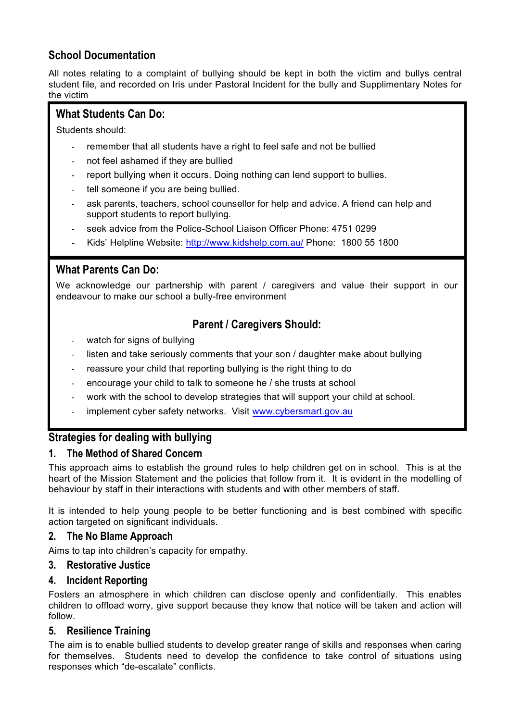# **School Documentation**

All notes relating to a complaint of bullying should be kept in both the victim and bullys central student file, and recorded on Iris under Pastoral Incident for the bully and Supplimentary Notes for the victim

### **What Students Can Do:**

Students should:

- remember that all students have a right to feel safe and not be bullied
- not feel ashamed if they are bullied
- report bullying when it occurs. Doing nothing can lend support to bullies.
- tell someone if you are being bullied.
- ask parents, teachers, school counsellor for help and advice. A friend can help and support students to report bullying.
- seek advice from the Police-School Liaison Officer Phone: 4751 0299
- Kids' Helpline Website: http://www.kidshelp.com.au/ Phone: 1800 55 1800

### **What Parents Can Do:**

We acknowledge our partnership with parent / caregivers and value their support in our endeavour to make our school a bully-free environment

# **Parent / Caregivers Should:**

- watch for signs of bullying
- listen and take seriously comments that your son / daughter make about bullying
- reassure your child that reporting bullying is the right thing to do
- encourage your child to talk to someone he / she trusts at school
- work with the school to develop strategies that will support your child at school.
- implement cyber safety networks. Visit www.cybersmart.gov.au

# **Strategies for dealing with bullying**

### **1. The Method of Shared Concern**

This approach aims to establish the ground rules to help children get on in school. This is at the heart of the Mission Statement and the policies that follow from it. It is evident in the modelling of behaviour by staff in their interactions with students and with other members of staff.

It is intended to help young people to be better functioning and is best combined with specific action targeted on significant individuals.

#### **2. The No Blame Approach**

Aims to tap into children's capacity for empathy.

#### **3. Restorative Justice**

#### **4. Incident Reporting**

Fosters an atmosphere in which children can disclose openly and confidentially. This enables children to offload worry, give support because they know that notice will be taken and action will follow.

#### **5. Resilience Training**

The aim is to enable bullied students to develop greater range of skills and responses when caring for themselves. Students need to develop the confidence to take control of situations using responses which "de-escalate" conflicts.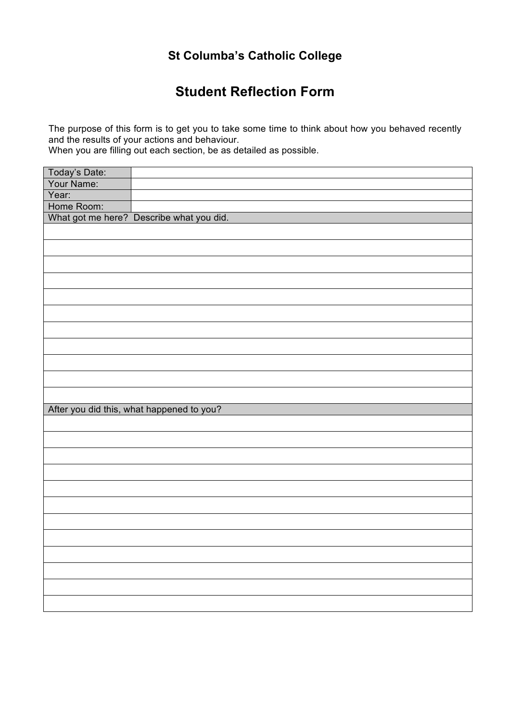# **St Columba's Catholic College**

# **Student Reflection Form**

The purpose of this form is to get you to take some time to think about how you behaved recently and the results of your actions and behaviour.

When you are filling out each section, be as detailed as possible.

| Today's Date: |                                           |
|---------------|-------------------------------------------|
| Your Name:    |                                           |
| Year:         |                                           |
| Home Room:    |                                           |
|               | What got me here? Describe what you did.  |
|               |                                           |
|               |                                           |
|               |                                           |
|               |                                           |
|               |                                           |
|               |                                           |
|               |                                           |
|               |                                           |
|               |                                           |
|               |                                           |
|               |                                           |
|               |                                           |
|               |                                           |
|               | After you did this, what happened to you? |
|               |                                           |
|               |                                           |
|               |                                           |
|               |                                           |
|               |                                           |
|               |                                           |
|               |                                           |
|               |                                           |
|               |                                           |
|               |                                           |
|               |                                           |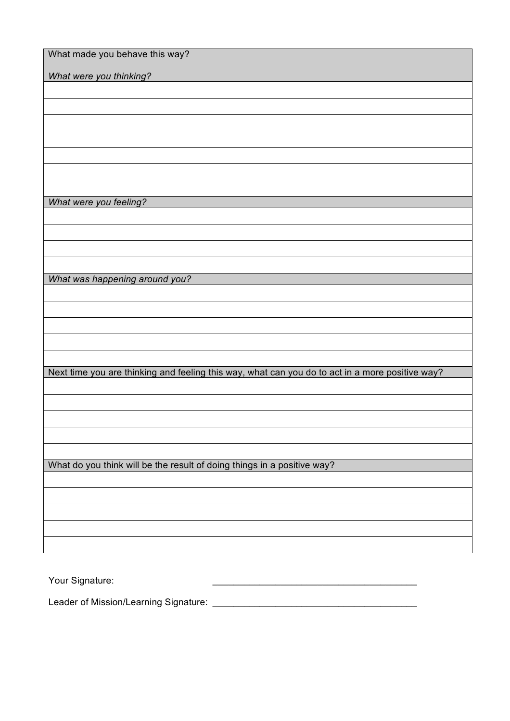| What made you behave this way?                                                                  |
|-------------------------------------------------------------------------------------------------|
| What were you thinking?                                                                         |
|                                                                                                 |
|                                                                                                 |
|                                                                                                 |
|                                                                                                 |
|                                                                                                 |
|                                                                                                 |
|                                                                                                 |
| What were you feeling?                                                                          |
|                                                                                                 |
|                                                                                                 |
|                                                                                                 |
|                                                                                                 |
|                                                                                                 |
| What was happening around you?                                                                  |
|                                                                                                 |
|                                                                                                 |
|                                                                                                 |
|                                                                                                 |
|                                                                                                 |
| Next time you are thinking and feeling this way, what can you do to act in a more positive way? |
|                                                                                                 |
|                                                                                                 |
|                                                                                                 |
|                                                                                                 |
|                                                                                                 |
| What do you think will be the result of doing things in a positive way?                         |
|                                                                                                 |
|                                                                                                 |
|                                                                                                 |
|                                                                                                 |
|                                                                                                 |
|                                                                                                 |
|                                                                                                 |

Your Signature: \_\_\_\_\_\_\_\_\_\_\_\_\_\_\_\_\_\_\_\_\_\_\_\_\_\_\_\_\_\_\_\_\_\_\_\_\_\_\_

Leader of Mission/Learning Signature: \_\_\_\_\_\_\_\_\_\_\_\_\_\_\_\_\_\_\_\_\_\_\_\_\_\_\_\_\_\_\_\_\_\_\_\_\_\_\_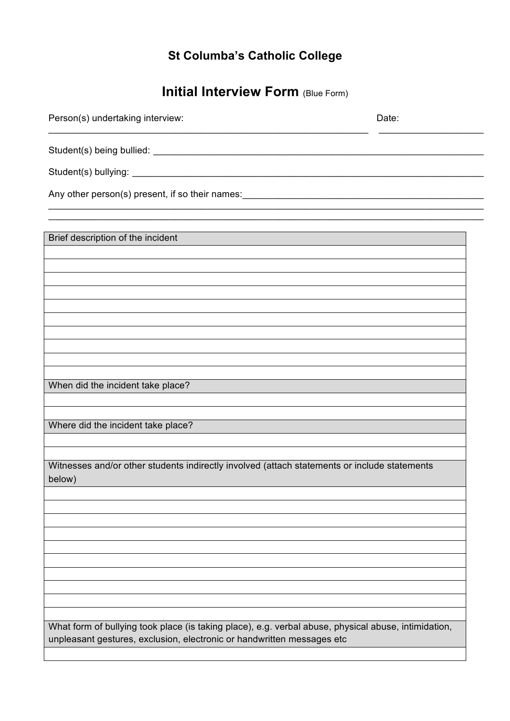# **St Columba's Catholic College**

# **Initial Interview Form (Blue Form)**

| Person(s) undertaking interview:                                                                       | Date: |
|--------------------------------------------------------------------------------------------------------|-------|
|                                                                                                        |       |
|                                                                                                        |       |
| Any other person(s) present, if so their names: _________________________________                      |       |
|                                                                                                        |       |
| Brief description of the incident                                                                      |       |
|                                                                                                        |       |
|                                                                                                        |       |
|                                                                                                        |       |
|                                                                                                        |       |
|                                                                                                        |       |
|                                                                                                        |       |
| When did the incident take place?                                                                      |       |
|                                                                                                        |       |
| Where did the incident take place?                                                                     |       |
|                                                                                                        |       |
| Witnesses and/or other students indirectly involved (attach statements or include statements<br>below) |       |
|                                                                                                        |       |
|                                                                                                        |       |
|                                                                                                        |       |
|                                                                                                        |       |
|                                                                                                        |       |
|                                                                                                        |       |
| What form of bullying took place (is taking place), e.g. verbal abuse, physical abuse, intimidation,   |       |
| unpleasant gestures, exclusion, electronic or handwritten messages etc                                 |       |
|                                                                                                        |       |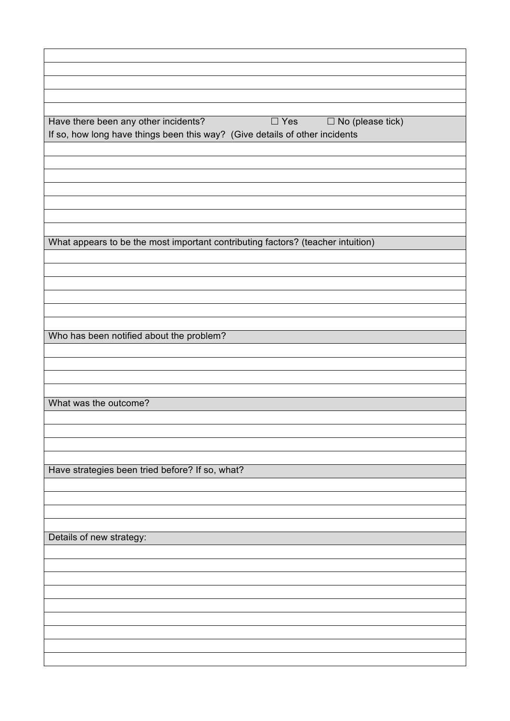| Have there been any other incidents?<br>$\Box$ Yes<br>$\Box$ No (please tick)<br>If so, how long have things been this way? (Give details of other incidents |  |  |  |  |
|--------------------------------------------------------------------------------------------------------------------------------------------------------------|--|--|--|--|
|                                                                                                                                                              |  |  |  |  |
|                                                                                                                                                              |  |  |  |  |
|                                                                                                                                                              |  |  |  |  |
|                                                                                                                                                              |  |  |  |  |
|                                                                                                                                                              |  |  |  |  |
|                                                                                                                                                              |  |  |  |  |
| What appears to be the most important contributing factors? (teacher intuition)                                                                              |  |  |  |  |
|                                                                                                                                                              |  |  |  |  |
|                                                                                                                                                              |  |  |  |  |
|                                                                                                                                                              |  |  |  |  |
|                                                                                                                                                              |  |  |  |  |
|                                                                                                                                                              |  |  |  |  |
| Who has been notified about the problem?                                                                                                                     |  |  |  |  |
|                                                                                                                                                              |  |  |  |  |
|                                                                                                                                                              |  |  |  |  |
|                                                                                                                                                              |  |  |  |  |
| What was the outcome?                                                                                                                                        |  |  |  |  |
|                                                                                                                                                              |  |  |  |  |
|                                                                                                                                                              |  |  |  |  |
|                                                                                                                                                              |  |  |  |  |
|                                                                                                                                                              |  |  |  |  |
| Have strategies been tried before? If so, what?                                                                                                              |  |  |  |  |
|                                                                                                                                                              |  |  |  |  |
|                                                                                                                                                              |  |  |  |  |
|                                                                                                                                                              |  |  |  |  |
| Details of new strategy:                                                                                                                                     |  |  |  |  |
|                                                                                                                                                              |  |  |  |  |
|                                                                                                                                                              |  |  |  |  |
|                                                                                                                                                              |  |  |  |  |
|                                                                                                                                                              |  |  |  |  |
|                                                                                                                                                              |  |  |  |  |
|                                                                                                                                                              |  |  |  |  |
|                                                                                                                                                              |  |  |  |  |
|                                                                                                                                                              |  |  |  |  |